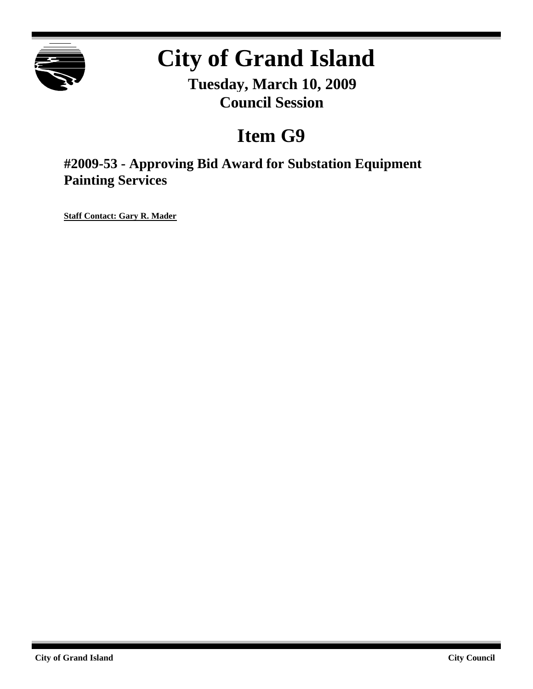

# **City of Grand Island**

**Tuesday, March 10, 2009 Council Session**

## **Item G9**

**#2009-53 - Approving Bid Award for Substation Equipment Painting Services**

**Staff Contact: Gary R. Mader**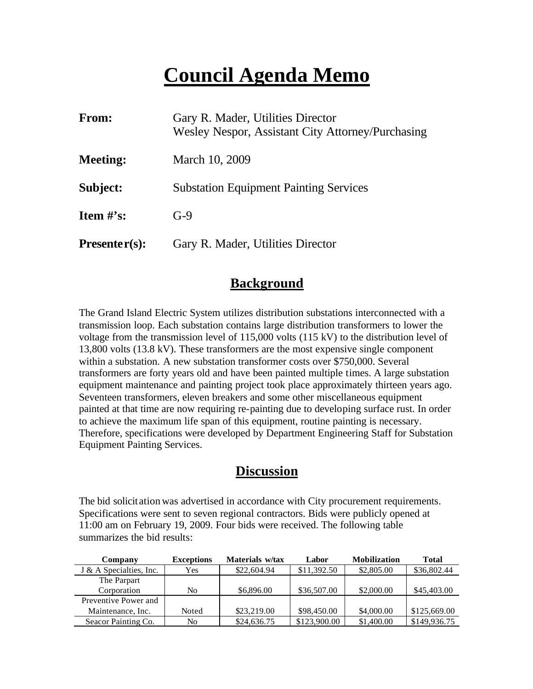## **Council Agenda Memo**

| <b>From:</b>                   | Gary R. Mader, Utilities Director<br>Wesley Nespor, Assistant City Attorney/Purchasing |
|--------------------------------|----------------------------------------------------------------------------------------|
| <b>Meeting:</b>                | March 10, 2009                                                                         |
| Subject:                       | <b>Substation Equipment Painting Services</b>                                          |
| <b>Item <math>\#</math>'s:</b> | $G-9$                                                                                  |
| $Presenter(s):$                | Gary R. Mader, Utilities Director                                                      |

### **Background**

The Grand Island Electric System utilizes distribution substations interconnected with a transmission loop. Each substation contains large distribution transformers to lower the voltage from the transmission level of 115,000 volts (115 kV) to the distribution level of 13,800 volts (13.8 kV). These transformers are the most expensive single component within a substation. A new substation transformer costs over \$750,000. Several transformers are forty years old and have been painted multiple times. A large substation equipment maintenance and painting project took place approximately thirteen years ago. Seventeen transformers, eleven breakers and some other miscellaneous equipment painted at that time are now requiring re-painting due to developing surface rust. In order to achieve the maximum life span of this equipment, routine painting is necessary. Therefore, specifications were developed by Department Engineering Staff for Substation Equipment Painting Services.

### **Discussion**

The bid solicitation was advertised in accordance with City procurement requirements. Specifications were sent to seven regional contractors. Bids were publicly opened at 11:00 am on February 19, 2009. Four bids were received. The following table summarizes the bid results:

| Company                 | <b>Exceptions</b> | Materials w/tax | Labor        | <b>Mobilization</b> | Total        |
|-------------------------|-------------------|-----------------|--------------|---------------------|--------------|
| J & A Specialties, Inc. | Yes               | \$22,604.94     | \$11,392.50  | \$2,805.00          | \$36,802.44  |
| The Parpart             |                   |                 |              |                     |              |
| Corporation             | No                | \$6,896.00      | \$36,507.00  | \$2,000.00          | \$45,403.00  |
| Preventive Power and    |                   |                 |              |                     |              |
| Maintenance, Inc.       | Noted             | \$23,219.00     | \$98,450.00  | \$4,000.00          | \$125,669.00 |
| Seacor Painting Co.     | No                | \$24,636.75     | \$123,900.00 | \$1,400.00          | \$149,936.75 |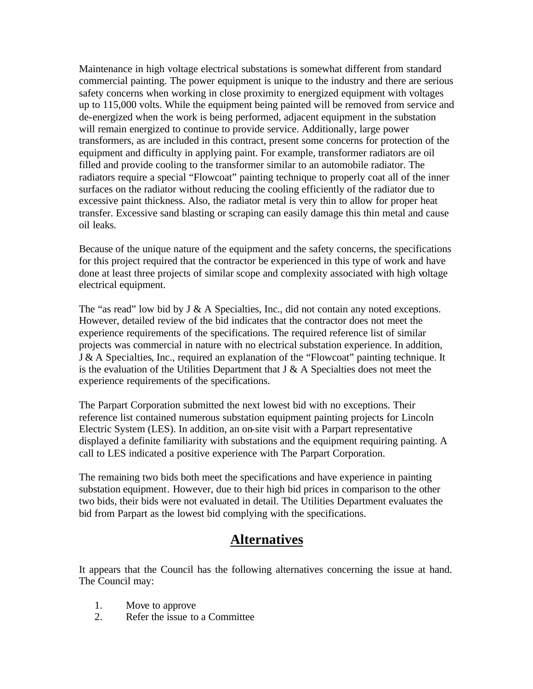Maintenance in high voltage electrical substations is somewhat different from standard commercial painting. The power equipment is unique to the industry and there are serious safety concerns when working in close proximity to energized equipment with voltages up to 115,000 volts. While the equipment being painted will be removed from service and de-energized when the work is being performed, adjacent equipment in the substation will remain energized to continue to provide service. Additionally, large power transformers, as are included in this contract, present some concerns for protection of the equipment and difficulty in applying paint. For example, transformer radiators are oil filled and provide cooling to the transformer similar to an automobile radiator. The radiators require a special "Flowcoat" painting technique to properly coat all of the inner surfaces on the radiator without reducing the cooling efficiently of the radiator due to excessive paint thickness. Also, the radiator metal is very thin to allow for proper heat transfer. Excessive sand blasting or scraping can easily damage this thin metal and cause oil leaks.

Because of the unique nature of the equipment and the safety concerns, the specifications for this project required that the contractor be experienced in this type of work and have done at least three projects of similar scope and complexity associated with high voltage electrical equipment.

The "as read" low bid by J & A Specialties, Inc., did not contain any noted exceptions. However, detailed review of the bid indicates that the contractor does not meet the experience requirements of the specifications. The required reference list of similar projects was commercial in nature with no electrical substation experience. In addition, J & A Specialties, Inc., required an explanation of the "Flowcoat" painting technique. It is the evaluation of the Utilities Department that  $J \& A$  Specialties does not meet the experience requirements of the specifications.

The Parpart Corporation submitted the next lowest bid with no exceptions. Their reference list contained numerous substation equipment painting projects for Lincoln Electric System (LES). In addition, an on-site visit with a Parpart representative displayed a definite familiarity with substations and the equipment requiring painting. A call to LES indicated a positive experience with The Parpart Corporation.

The remaining two bids both meet the specifications and have experience in painting substation equipment. However, due to their high bid prices in comparison to the other two bids, their bids were not evaluated in detail. The Utilities Department evaluates the bid from Parpart as the lowest bid complying with the specifications.

### **Alternatives**

It appears that the Council has the following alternatives concerning the issue at hand. The Council may:

- 1. Move to approve
- 2. Refer the issue to a Committee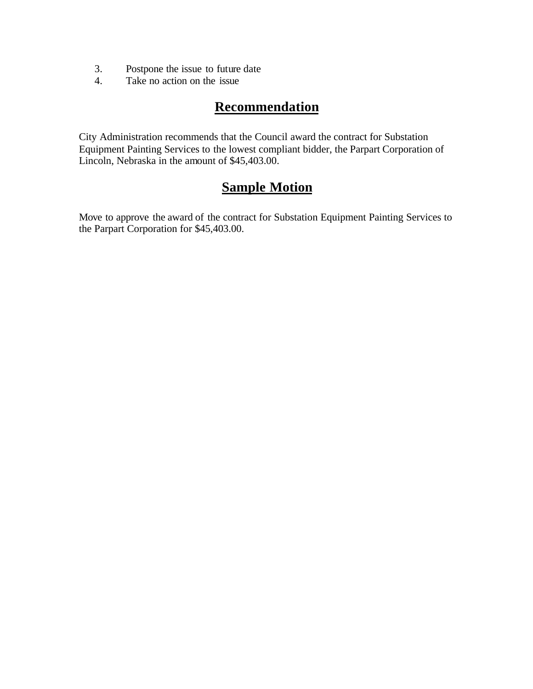- 3. Postpone the issue to future date
- 4. Take no action on the issue

## **Recommendation**

City Administration recommends that the Council award the contract for Substation Equipment Painting Services to the lowest compliant bidder, the Parpart Corporation of Lincoln, Nebraska in the amount of \$45,403.00.

## **Sample Motion**

Move to approve the award of the contract for Substation Equipment Painting Services to the Parpart Corporation for \$45,403.00.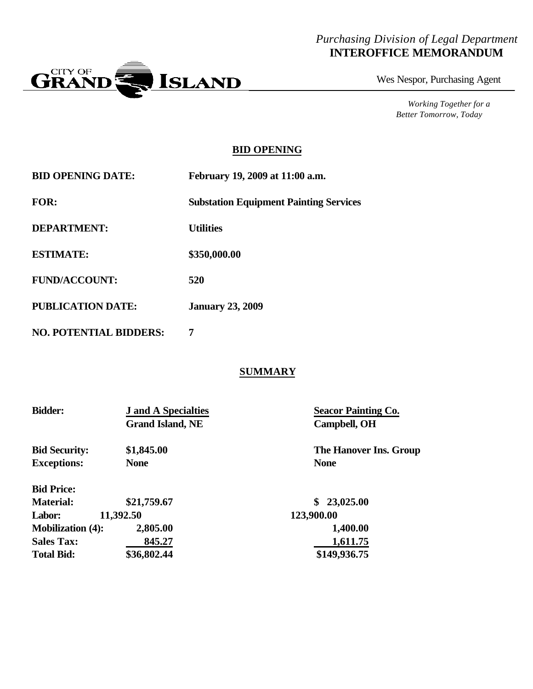#### *Purchasing Division of Legal Department* **INTEROFFICE MEMORANDUM**



Wes Nespor, Purchasing Agent

*Working Together for a Better Tomorrow, Today*

#### **BID OPENING**

| <b>BID OPENING DATE:</b> | February 19, 2009 at 11:00 a.m.               |
|--------------------------|-----------------------------------------------|
| <b>FOR:</b>              | <b>Substation Equipment Painting Services</b> |
| <b>DEPARTMENT:</b>       | <b>Utilities</b>                              |
| <b>ESTIMATE:</b>         | \$350,000.00                                  |
| <b>FUND/ACCOUNT:</b>     | 520                                           |
| <b>PUBLICATION DATE:</b> | <b>January 23, 2009</b>                       |
|                          |                                               |

**NO. POTENTIAL BIDDERS: 7**

#### **SUMMARY**

| <b>Bidder:</b>           | <b>J</b> and A Specialties<br><b>Grand Island, NE</b> | <b>Seacor Painting Co.</b><br>Campbell, OH |
|--------------------------|-------------------------------------------------------|--------------------------------------------|
| <b>Bid Security:</b>     | \$1,845.00                                            | The Hanover Ins. Group                     |
| <b>Exceptions:</b>       | <b>None</b>                                           | <b>None</b>                                |
| <b>Bid Price:</b>        |                                                       |                                            |
| <b>Material:</b>         | \$21,759.67                                           | 23,025.00                                  |
| Labor:                   | 11,392.50                                             | 123,900.00                                 |
| <b>Mobilization (4):</b> | 2,805.00                                              | 1,400.00                                   |
| <b>Sales Tax:</b>        | 845.27                                                | 1,611.75                                   |
| <b>Total Bid:</b>        | \$36,802.44                                           | \$149,936.75                               |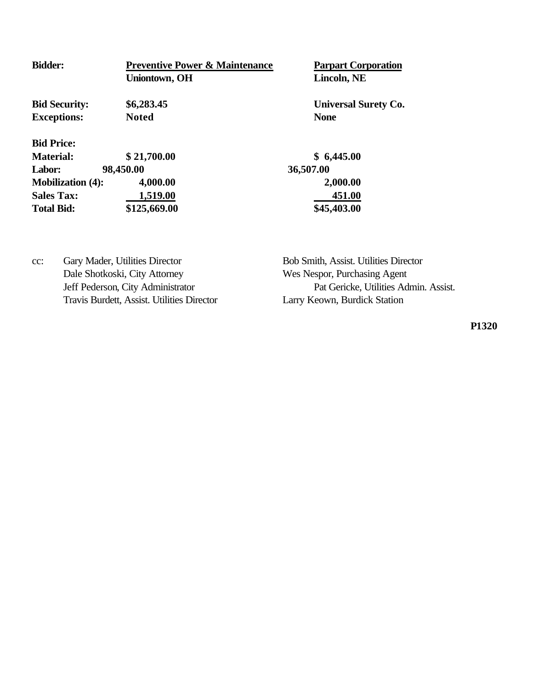| <b>Bidder:</b>           | <b>Preventive Power &amp; Maintenance</b> | Parpart Co       |  |
|--------------------------|-------------------------------------------|------------------|--|
|                          | <b>Uniontown, OH</b>                      | Lincoln, N       |  |
| <b>Bid Security:</b>     | \$6,283.45                                | <b>Universal</b> |  |
| <b>Exceptions:</b>       | <b>Noted</b>                              | <b>None</b>      |  |
| <b>Bid Price:</b>        |                                           |                  |  |
| <b>Material:</b>         | \$21,700.00                               | \$6,445.00       |  |
| 98,450.00<br>Labor:      |                                           | 36,507.00        |  |
| <b>Mobilization (4):</b> | 4,000.00                                  | 2,000.00         |  |
| <b>Sales Tax:</b>        | 1,519.00                                  | 451.00           |  |
| <b>Total Bid:</b>        | \$125,669.00                              | \$45,403.00      |  |

**Parpart Corporation**  $Lincoh, NE$ 

**Universal Surety Co.** 

cc: Gary Mader, Utilities Director Bob Smith, Assist. Utilities Director Dale Shotkoski, City Attorney Wes Nespor, Purchasing Agent Travis Burdett, Assist. Utilities Director Larry Keown, Burdick Station

Jeff Pederson, City Administrator Pat Gericke, Utilities Admin. Assist.

**P1320**